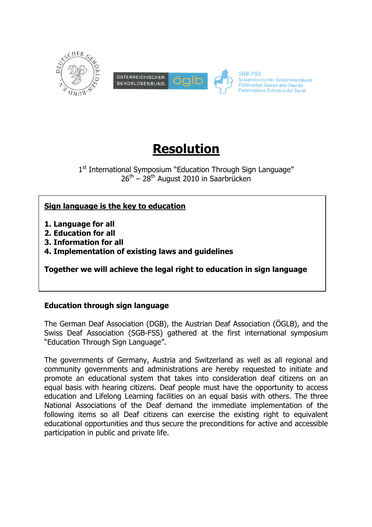

# **Resolution**

1<sup>st</sup> International Symposium "Education Through Sign Language"  $26<sup>th</sup> - 28<sup>th</sup>$  August 2010 in Saarbrücken

## **Sign language is the key to education**

**1. Language for all**

- **2. Education for all**
- **3. Information for all**
- **4. Implementation of existing laws and guidelines**

**Together we will achieve the legal right to education in sign language**

## **Education through sign language**

The German Deaf Association (DGB), the Austrian Deaf Association (ÖGLB), and the Swiss Deaf Association (SGB-FSS) gathered at the first international symposium "Education Through Sign Language".

The governments of Germany, Austria and Switzerland as well as all regional and community governments and administrations are hereby requested to initiate and promote an educational system that takes into consideration deaf citizens on an equal basis with hearing citizens. Deaf people must have the opportunity to access education and Lifelong Learning facilities on an equal basis with others. The three National Associations of the Deaf demand the immediate implementation of the following items so all Deaf citizens can exercise the existing right to equivalent educational opportunities and thus secure the preconditions for active and accessible participation in public and private life.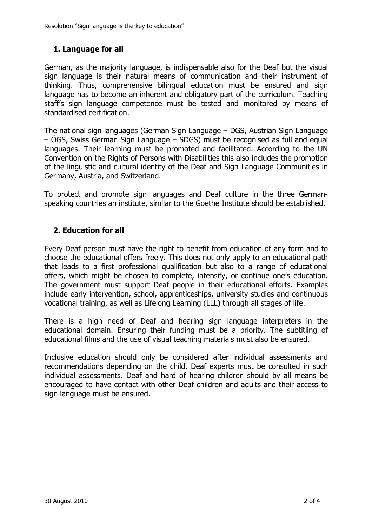Resolution "Sign language is the key to education"

#### **1. Language for all**

German, as the majority language, is indispensable also for the Deaf but the visual sign language is their natural means of communication and their instrument of thinking. Thus, comprehensive bilingual education must be ensured and sign language has to become an inherent and obligatory part of the curriculum. Teaching staff's sign language competence must be tested and monitored by means of standardised certification.

The national sign languages (German Sign Language – DGS, Austrian Sign Language – ÖGS, Swiss German Sign Language – SDGS) must be recognised as full and equal languages. Their learning must be promoted and facilitated. According to the UN Convention on the Rights of Persons with Disabilities this also includes the promotion of the linguistic and cultural identity of the Deaf and Sign Language Communities in Germany, Austria, and Switzerland.

To protect and promote sign languages and Deaf culture in the three Germanspeaking countries an institute, similar to the Goethe Institute should be established.

#### **2. Education for all**

Every Deaf person must have the right to benefit from education of any form and to choose the educational offers freely. This does not only apply to an educational path that leads to a first professional qualification but also to a range of educational offers, which might be chosen to complete, intensify, or continue one's education. The government must support Deaf people in their educational efforts. Examples include early intervention, school, apprenticeships, university studies and continuous vocational training, as well as Lifelong Learning (LLL) through all stages of life.

There is a high need of Deaf and hearing sign language interpreters in the educational domain. Ensuring their funding must be a priority. The subtitling of educational films and the use of visual teaching materials must also be ensured.

Inclusive education should only be considered after individual assessments and recommendations depending on the child. Deaf experts must be consulted in such individual assessments. Deaf and hard of hearing children should by all means be encouraged to have contact with other Deaf children and adults and their access to sign language must be ensured.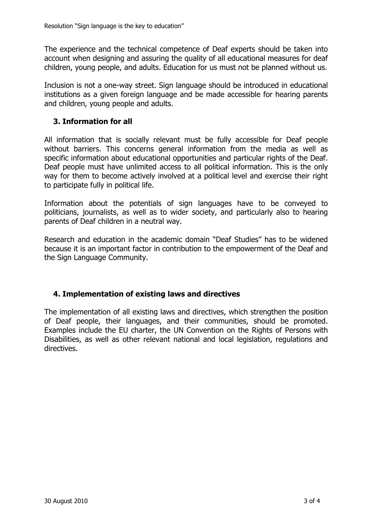The experience and the technical competence of Deaf experts should be taken into account when designing and assuring the quality of all educational measures for deaf children, young people, and adults. Education for us must not be planned without us.

Inclusion is not a one-way street. Sign language should be introduced in educational institutions as a given foreign language and be made accessible for hearing parents and children, young people and adults.

#### **3. Information for all**

All information that is socially relevant must be fully accessible for Deaf people without barriers. This concerns general information from the media as well as specific information about educational opportunities and particular rights of the Deaf. Deaf people must have unlimited access to all political information. This is the only way for them to become actively involved at a political level and exercise their right to participate fully in political life.

Information about the potentials of sign languages have to be conveyed to politicians, journalists, as well as to wider society, and particularly also to hearing parents of Deaf children in a neutral way.

Research and education in the academic domain "Deaf Studies" has to be widened because it is an important factor in contribution to the empowerment of the Deaf and the Sign Language Community.

## **4. Implementation of existing laws and directives**

The implementation of all existing laws and directives, which strengthen the position of Deaf people, their languages, and their communities, should be promoted. Examples include the EU charter, the UN Convention on the Rights of Persons with Disabilities, as well as other relevant national and local legislation, regulations and directives.